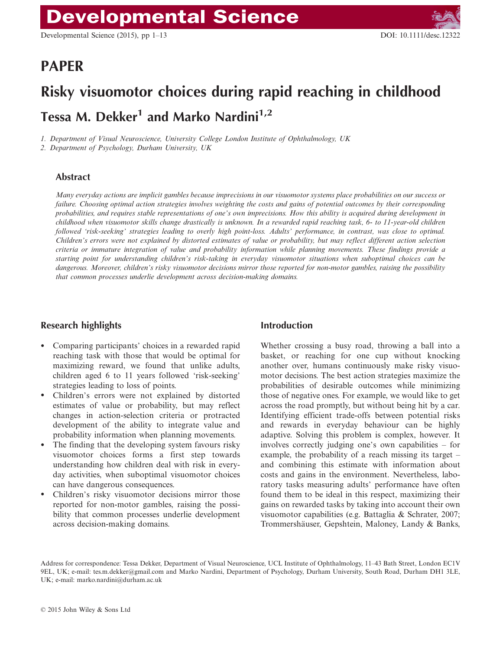# PAPER

# Risky visuomotor choices during rapid reaching in childhood Tessa M. Dekker<sup>1</sup> and Marko Nardini<sup>1,2</sup>

1. Department of Visual Neuroscience, University College London Institute of Ophthalmology, UK

2. Department of Psychology, Durham University, UK

# Abstract

Many everyday actions are implicit gambles because imprecisions in our visuomotor systems place probabilities on our success or failure. Choosing optimal action strategies involves weighting the costs and gains of potential outcomes by their corresponding probabilities, and requires stable representations of one's own imprecisions. How this ability is acquired during development in childhood when visuomotor skills change drastically is unknown. In a rewarded rapid reaching task, 6- to 11-year-old children followed 'risk-seeking' strategies leading to overly high point-loss. Adults' performance, in contrast, was close to optimal. Children's errors were not explained by distorted estimates of value or probability, but may reflect different action selection criteria or immature integration of value and probability information while planning movements. These findings provide a starting point for understanding children's risk-taking in everyday visuomotor situations when suboptimal choices can be dangerous. Moreover, children's risky visuomotor decisions mirror those reported for non-motor gambles, raising the possibility that common processes underlie development across decision-making domains.

# Research highlights

- Comparing participants' choices in a rewarded rapid reaching task with those that would be optimal for maximizing reward, we found that unlike adults, children aged 6 to 11 years followed 'risk-seeking' strategies leading to loss of points.
- Children's errors were not explained by distorted estimates of value or probability, but may reflect changes in action-selection criteria or protracted development of the ability to integrate value and probability information when planning movements.
- The finding that the developing system favours risky visuomotor choices forms a first step towards understanding how children deal with risk in everyday activities, when suboptimal visuomotor choices can have dangerous consequences.
- Children's risky visuomotor decisions mirror those reported for non-motor gambles, raising the possibility that common processes underlie development across decision-making domains.

# Introduction

Whether crossing a busy road, throwing a ball into a basket, or reaching for one cup without knocking another over, humans continuously make risky visuomotor decisions. The best action strategies maximize the probabilities of desirable outcomes while minimizing those of negative ones. For example, we would like to get across the road promptly, but without being hit by a car. Identifying efficient trade-offs between potential risks and rewards in everyday behaviour can be highly adaptive. Solving this problem is complex, however. It involves correctly judging one's own capabilities – for example, the probability of a reach missing its target – and combining this estimate with information about costs and gains in the environment. Nevertheless, laboratory tasks measuring adults' performance have often found them to be ideal in this respect, maximizing their gains on rewarded tasks by taking into account their own visuomotor capabilities (e.g. Battaglia & Schrater, 2007; Trommershäuser, Gepshtein, Maloney, Landy & Banks,

Address for correspondence: Tessa Dekker, Department of Visual Neuroscience, UCL Institute of Ophthalmology, 11–43 Bath Street, London EC1V 9EL, UK; e-mail: tes.m.dekker@gmail.com and Marko Nardini, Department of Psychology, Durham University, South Road, Durham DH1 3LE, UK; e-mail: marko.nardini@durham.ac.uk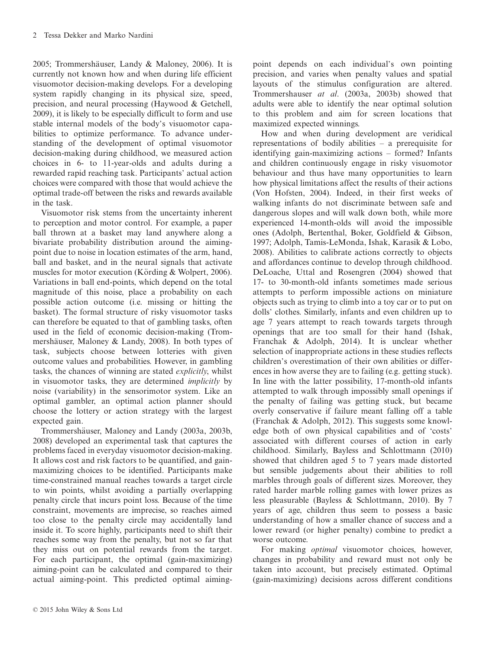2005; Trommershäuser, Landy & Maloney, 2006). It is currently not known how and when during life efficient visuomotor decision-making develops. For a developing system rapidly changing in its physical size, speed, precision, and neural processing (Haywood & Getchell, 2009), it is likely to be especially difficult to form and use stable internal models of the body's visuomotor capabilities to optimize performance. To advance understanding of the development of optimal visuomotor decision-making during childhood, we measured action choices in 6- to 11-year-olds and adults during a rewarded rapid reaching task. Participants' actual action choices were compared with those that would achieve the optimal trade-off between the risks and rewards available in the task.

Visuomotor risk stems from the uncertainty inherent to perception and motor control. For example, a paper ball thrown at a basket may land anywhere along a bivariate probability distribution around the aimingpoint due to noise in location estimates of the arm, hand, ball and basket, and in the neural signals that activate muscles for motor execution (Körding  $&$  Wolpert, 2006). Variations in ball end-points, which depend on the total magnitude of this noise, place a probability on each possible action outcome (i.e. missing or hitting the basket). The formal structure of risky visuomotor tasks can therefore be equated to that of gambling tasks, often used in the field of economic decision-making (Trommershäuser, Maloney & Landy, 2008). In both types of task, subjects choose between lotteries with given outcome values and probabilities. However, in gambling tasks, the chances of winning are stated explicitly, whilst in visuomotor tasks, they are determined *implicitly* by noise (variability) in the sensorimotor system. Like an optimal gambler, an optimal action planner should choose the lottery or action strategy with the largest expected gain.

Trommershäuser, Maloney and Landy (2003a, 2003b, 2008) developed an experimental task that captures the problems faced in everyday visuomotor decision-making. It allows cost and risk factors to be quantified, and gainmaximizing choices to be identified. Participants make time-constrained manual reaches towards a target circle to win points, whilst avoiding a partially overlapping penalty circle that incurs point loss. Because of the time constraint, movements are imprecise, so reaches aimed too close to the penalty circle may accidentally land inside it. To score highly, participants need to shift their reaches some way from the penalty, but not so far that they miss out on potential rewards from the target. For each participant, the optimal (gain-maximizing) aiming-point can be calculated and compared to their actual aiming-point. This predicted optimal aimingpoint depends on each individual's own pointing precision, and varies when penalty values and spatial layouts of the stimulus configuration are altered. Trommershauser at al. (2003a, 2003b) showed that adults were able to identify the near optimal solution to this problem and aim for screen locations that maximized expected winnings.

How and when during development are veridical representations of bodily abilities – a prerequisite for identifying gain-maximizing actions – formed? Infants and children continuously engage in risky visuomotor behaviour and thus have many opportunities to learn how physical limitations affect the results of their actions (Von Hofsten, 2004). Indeed, in their first weeks of walking infants do not discriminate between safe and dangerous slopes and will walk down both, while more experienced 14-month-olds will avoid the impossible ones (Adolph, Bertenthal, Boker, Goldfield & Gibson, 1997; Adolph, Tamis-LeMonda, Ishak, Karasik & Lobo, 2008). Abilities to calibrate actions correctly to objects and affordances continue to develop through childhood. DeLoache, Uttal and Rosengren (2004) showed that 17- to 30-month-old infants sometimes made serious attempts to perform impossible actions on miniature objects such as trying to climb into a toy car or to put on dolls' clothes. Similarly, infants and even children up to age 7 years attempt to reach towards targets through openings that are too small for their hand (Ishak, Franchak & Adolph, 2014). It is unclear whether selection of inappropriate actions in these studies reflects children's overestimation of their own abilities or differences in how averse they are to failing (e.g. getting stuck). In line with the latter possibility, 17-month-old infants attempted to walk through impossibly small openings if the penalty of failing was getting stuck, but became overly conservative if failure meant falling off a table (Franchak & Adolph, 2012). This suggests some knowledge both of own physical capabilities and of 'costs' associated with different courses of action in early childhood. Similarly, Bayless and Schlottmann (2010) showed that children aged 5 to 7 years made distorted but sensible judgements about their abilities to roll marbles through goals of different sizes. Moreover, they rated harder marble rolling games with lower prizes as less pleasurable (Bayless & Schlottmann, 2010). By 7 years of age, children thus seem to possess a basic understanding of how a smaller chance of success and a lower reward (or higher penalty) combine to predict a worse outcome.

For making *optimal* visuomotor choices, however, changes in probability and reward must not only be taken into account, but precisely estimated. Optimal (gain-maximizing) decisions across different conditions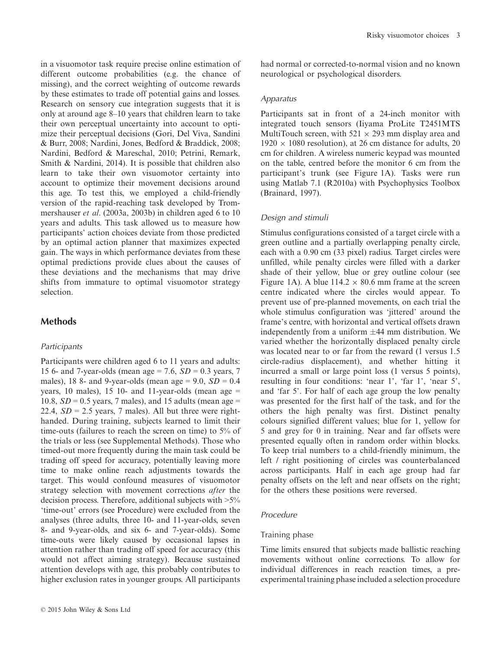in a visuomotor task require precise online estimation of different outcome probabilities (e.g. the chance of missing), and the correct weighting of outcome rewards by these estimates to trade off potential gains and losses. Research on sensory cue integration suggests that it is only at around age 8–10 years that children learn to take their own perceptual uncertainty into account to optimize their perceptual decisions (Gori, Del Viva, Sandini & Burr, 2008; Nardini, Jones, Bedford & Braddick, 2008; Nardini, Bedford & Mareschal, 2010; Petrini, Remark, Smith & Nardini, 2014). It is possible that children also learn to take their own visuomotor certainty into account to optimize their movement decisions around this age. To test this, we employed a child-friendly version of the rapid-reaching task developed by Trommershauser et al. (2003a, 2003b) in children aged 6 to 10 years and adults. This task allowed us to measure how participants' action choices deviate from those predicted by an optimal action planner that maximizes expected gain. The ways in which performance deviates from these optimal predictions provide clues about the causes of these deviations and the mechanisms that may drive shifts from immature to optimal visuomotor strategy selection.

# **Methods**

#### **Participants**

Participants were children aged 6 to 11 years and adults: 15 6- and 7-year-olds (mean age = 7.6,  $SD = 0.3$  years, 7 males), 18 8- and 9-year-olds (mean age =  $9.0$ ,  $SD = 0.4$ years, 10 males), 15 10- and 11-year-olds (mean age  $=$ 10.8,  $SD = 0.5$  years, 7 males), and 15 adults (mean age = 22.4,  $SD = 2.5$  years, 7 males). All but three were righthanded. During training, subjects learned to limit their time-outs (failures to reach the screen on time) to 5% of the trials or less (see Supplemental Methods). Those who timed-out more frequently during the main task could be trading off speed for accuracy, potentially leaving more time to make online reach adjustments towards the target. This would confound measures of visuomotor strategy selection with movement corrections *after* the decision process. Therefore, additional subjects with >5% 'time-out' errors (see Procedure) were excluded from the analyses (three adults, three 10- and 11-year-olds, seven 8- and 9-year-olds, and six 6- and 7-year-olds). Some time-outs were likely caused by occasional lapses in attention rather than trading off speed for accuracy (this would not affect aiming strategy). Because sustained attention develops with age, this probably contributes to higher exclusion rates in younger groups. All participants had normal or corrected-to-normal vision and no known neurological or psychological disorders.

#### Apparatus

Participants sat in front of a 24-inch monitor with integrated touch sensors (Iiyama ProLite T2451MTS MultiTouch screen, with  $521 \times 293$  mm display area and  $1920 \times 1080$  resolution), at 26 cm distance for adults, 20 cm for children. A wireless numeric keypad was mounted on the table, centred before the monitor 6 cm from the participant's trunk (see Figure 1A). Tasks were run using Matlab 7.1 (R2010a) with Psychophysics Toolbox (Brainard, 1997).

# Design and stimuli

Stimulus configurations consisted of a target circle with a green outline and a partially overlapping penalty circle, each with a 0.90 cm (33 pixel) radius. Target circles were unfilled, while penalty circles were filled with a darker shade of their yellow, blue or grey outline colour (see Figure 1A). A blue  $114.2 \times 80.6$  mm frame at the screen centre indicated where the circles would appear. To prevent use of pre-planned movements, on each trial the whole stimulus configuration was 'jittered' around the frame's centre, with horizontal and vertical offsets drawn independently from a uniform  $\pm 44$  mm distribution. We varied whether the horizontally displaced penalty circle was located near to or far from the reward (1 versus 1.5 circle-radius displacement), and whether hitting it incurred a small or large point loss (1 versus 5 points), resulting in four conditions: 'near 1', 'far 1', 'near 5', and 'far 5'. For half of each age group the low penalty was presented for the first half of the task, and for the others the high penalty was first. Distinct penalty colours signified different values; blue for 1, yellow for 5 and grey for 0 in training. Near and far offsets were presented equally often in random order within blocks. To keep trial numbers to a child-friendly minimum, the left / right positioning of circles was counterbalanced across participants. Half in each age group had far penalty offsets on the left and near offsets on the right; for the others these positions were reversed.

# Procedure

#### Training phase

Time limits ensured that subjects made ballistic reaching movements without online corrections. To allow for individual differences in reach reaction times, a preexperimental training phase included a selection procedure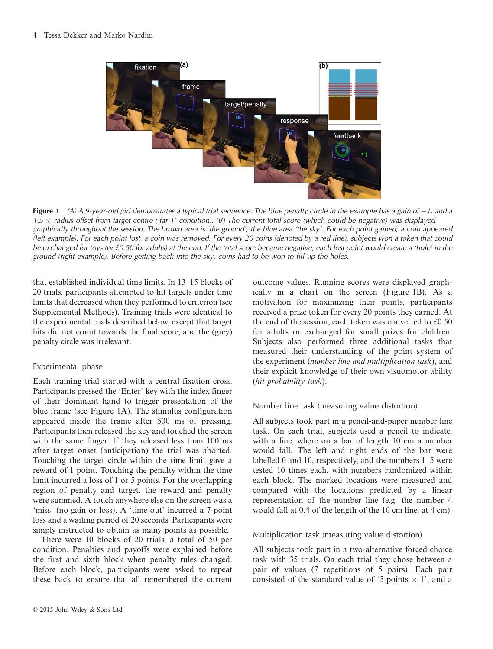

Figure 1 (A) A 9-year-old girl demonstrates a typical trial sequence. The blue penalty circle in the example has a gain of  $-1$ , and a 1.5  $\times$  radius offset from target centre ('far 1' condition). (B) The current total score (which could be negative) was displayed graphically throughout the session. The brown area is 'the ground', the blue area 'the sky'. For each point gained, a coin appeared (left example). For each point lost, a coin was removed. For every 20 coins (denoted by a red line), subjects won a token that could be exchanged for toys (or £0.50 for adults) at the end. If the total score became negative, each lost point would create a 'hole' in the ground (right example). Before getting back into the sky, coins had to be won to fill up the holes.

that established individual time limits. In 13–15 blocks of 20 trials, participants attempted to hit targets under time limits that decreased when they performed to criterion (see Supplemental Methods). Training trials were identical to the experimental trials described below, except that target hits did not count towards the final score, and the (grey) penalty circle was irrelevant.

# Experimental phase

Each training trial started with a central fixation cross. Participants pressed the 'Enter' key with the index finger of their dominant hand to trigger presentation of the blue frame (see Figure 1A). The stimulus configuration appeared inside the frame after 500 ms of pressing. Participants then released the key and touched the screen with the same finger. If they released less than 100 ms after target onset (anticipation) the trial was aborted. Touching the target circle within the time limit gave a reward of 1 point. Touching the penalty within the time limit incurred a loss of 1 or 5 points. For the overlapping region of penalty and target, the reward and penalty were summed. A touch anywhere else on the screen was a 'miss' (no gain or loss). A 'time-out' incurred a 7-point loss and a waiting period of 20 seconds. Participants were simply instructed to obtain as many points as possible.

There were 10 blocks of 20 trials, a total of 50 per condition. Penalties and payoffs were explained before the first and sixth block when penalty rules changed. Before each block, participants were asked to repeat these back to ensure that all remembered the current

outcome values. Running scores were displayed graphically in a chart on the screen (Figure 1B). As a motivation for maximizing their points, participants received a prize token for every 20 points they earned. At the end of the session, each token was converted to £0.50 for adults or exchanged for small prizes for children. Subjects also performed three additional tasks that measured their understanding of the point system of the experiment (number line and multiplication task), and their explicit knowledge of their own visuomotor ability (hit probability task).

# Number line task (measuring value distortion)

All subjects took part in a pencil-and-paper number line task. On each trial, subjects used a pencil to indicate, with a line, where on a bar of length 10 cm a number would fall. The left and right ends of the bar were labelled 0 and 10, respectively, and the numbers 1–5 were tested 10 times each, with numbers randomized within each block. The marked locations were measured and compared with the locations predicted by a linear representation of the number line (e.g. the number 4 would fall at 0.4 of the length of the 10 cm line, at 4 cm).

# Multiplication task (measuring value distortion)

All subjects took part in a two-alternative forced choice task with 35 trials. On each trial they chose between a pair of values (7 repetitions of 5 pairs). Each pair consisted of the standard value of '5 points  $\times$  1', and a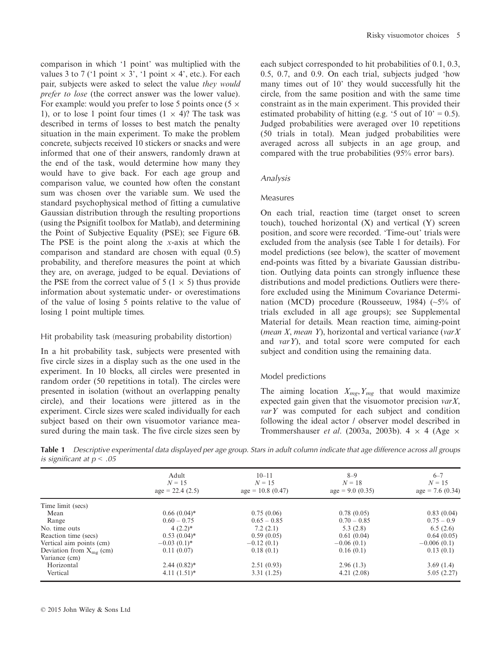comparison in which '1 point' was multiplied with the values 3 to 7 ('1 point  $\times$  3', '1 point  $\times$  4', etc.). For each pair, subjects were asked to select the value they would prefer to lose (the correct answer was the lower value). For example: would you prefer to lose 5 points once  $(5 \times 1)$ 1), or to lose 1 point four times  $(1 \times 4)$ ? The task was described in terms of losses to best match the penalty situation in the main experiment. To make the problem concrete, subjects received 10 stickers or snacks and were informed that one of their answers, randomly drawn at the end of the task, would determine how many they would have to give back. For each age group and comparison value, we counted how often the constant sum was chosen over the variable sum. We used the standard psychophysical method of fitting a cumulative Gaussian distribution through the resulting proportions (using the Psignifit toolbox for Matlab), and determining the Point of Subjective Equality (PSE); see Figure 6B. The PSE is the point along the  $x$ -axis at which the comparison and standard are chosen with equal (0.5) probability, and therefore measures the point at which they are, on average, judged to be equal. Deviations of the PSE from the correct value of  $5 (1 \times 5)$  thus provide information about systematic under- or overestimations of the value of losing 5 points relative to the value of losing 1 point multiple times.

#### Hit probability task (measuring probability distortion)

In a hit probability task, subjects were presented with five circle sizes in a display such as the one used in the experiment. In 10 blocks, all circles were presented in random order (50 repetitions in total). The circles were presented in isolation (without an overlapping penalty circle), and their locations were jittered as in the experiment. Circle sizes were scaled individually for each subject based on their own visuomotor variance measured during the main task. The five circle sizes seen by each subject corresponded to hit probabilities of 0.1, 0.3, 0.5, 0.7, and 0.9. On each trial, subjects judged 'how many times out of 10' they would successfully hit the circle, from the same position and with the same time constraint as in the main experiment. This provided their estimated probability of hitting (e.g. '5 out of  $10' = 0.5$ ). Judged probabilities were averaged over 10 repetitions (50 trials in total). Mean judged probabilities were averaged across all subjects in an age group, and compared with the true probabilities (95% error bars).

#### Analysis

#### Measures

On each trial, reaction time (target onset to screen touch), touched horizontal (X) and vertical (Y) screen position, and score were recorded. 'Time-out' trials were excluded from the analysis (see Table 1 for details). For model predictions (see below), the scatter of movement end-points was fitted by a bivariate Gaussian distribution. Outlying data points can strongly influence these distributions and model predictions. Outliers were therefore excluded using the Minimum Covariance Determination (MCD) procedure (Rousseeuw, 1984) (~5% of trials excluded in all age groups); see Supplemental Material for details. Mean reaction time, aiming-point (mean  $X$ , mean  $Y$ ), horizontal and vertical variance (var $X$ and varY), and total score were computed for each subject and condition using the remaining data.

# Model predictions

The aiming location  $X_{mg}$ ,  $Y_{mg}$  that would maximize expected gain given that the visuomotor precision  $varX$ ,  $varY$  was computed for each subject and condition following the ideal actor / observer model described in Trommershauser *et al.* (2003a, 2003b).  $4 \times 4$  (Age  $\times$ 

Table 1 Descriptive experimental data displayed per age group. Stars in adult column indicate that age difference across all groups is significant at  $p < .05$ 

|                              | Adult<br>$N = 15$<br>$age = 22.4(2.5)$ | $10 - 11$<br>$N = 15$<br>$age = 10.8(0.47)$ | $8 - 9$<br>$N = 18$<br>$age = 9.0 (0.35)$ | $6 - 7$<br>$N = 15$<br>$age = 7.6(0.34)$ |
|------------------------------|----------------------------------------|---------------------------------------------|-------------------------------------------|------------------------------------------|
|                              |                                        |                                             |                                           |                                          |
| Time limit (secs)            |                                        |                                             |                                           |                                          |
| Mean                         | $0.66(0.04)$ *                         | 0.75(0.06)                                  | 0.78(0.05)                                | 0.83(0.04)                               |
| Range                        | $0.60 - 0.75$                          | $0.65 - 0.85$                               | $0.70 - 0.85$                             | $0.75 - 0.9$                             |
| No. time outs                | $4(2.2)*$                              | 7.2(2.1)                                    | 5.3(2.8)                                  | 6.5(2.6)                                 |
| Reaction time (secs)         | $0.53(0.04)^*$                         | 0.59(0.05)                                  | 0.61(0.04)                                | 0.64(0.05)                               |
| Vertical aim points (cm)     | $-0.03(0.1)^*$                         | $-0.12(0.1)$                                | $-0.06(0.1)$                              | $-0.006(0.1)$                            |
| Deviation from $X_{mg}$ (cm) | 0.11(0.07)                             | 0.18(0.1)                                   | 0.16(0.1)                                 | 0.13(0.1)                                |
| Variance (cm)                |                                        |                                             |                                           |                                          |
| Horizontal                   | $2.44(0.82)$ *                         | 2.51(0.93)                                  | 2.96(1.3)                                 | 3.69(1.4)                                |
| Vertical                     | $4.11(1.51)*$                          | 3.31(1.25)                                  | 4.21(2.08)                                | 5.05(2.27)                               |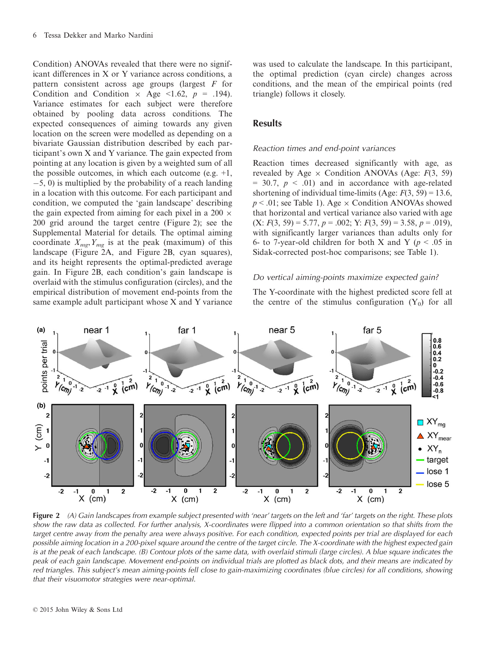Condition) ANOVAs revealed that there were no significant differences in X or Y variance across conditions, a pattern consistent across age groups (largest  $F$  for Condition and Condition  $\times$  Age <1.62,  $p = .194$ ). Variance estimates for each subject were therefore obtained by pooling data across conditions. The expected consequences of aiming towards any given location on the screen were modelled as depending on a bivariate Gaussian distribution described by each participant's own X and Y variance. The gain expected from pointing at any location is given by a weighted sum of all the possible outcomes, in which each outcome (e.g.  $+1$ ,  $-5$ , 0) is multiplied by the probability of a reach landing in a location with this outcome. For each participant and condition, we computed the 'gain landscape' describing the gain expected from aiming for each pixel in a 200  $\times$ 200 grid around the target centre (Figure 2); see the Supplemental Material for details. The optimal aiming coordinate  $X_{mg}$ ,  $Y_{mg}$  is at the peak (maximum) of this landscape (Figure 2A, and Figure 2B, cyan squares), and its height represents the optimal-predicted average gain. In Figure 2B, each condition's gain landscape is overlaid with the stimulus configuration (circles), and the empirical distribution of movement end-points from the same example adult participant whose X and Y variance was used to calculate the landscape. In this participant, the optimal prediction (cyan circle) changes across conditions, and the mean of the empirical points (red triangle) follows it closely.

#### **Results**

#### Reaction times and end-point variances

Reaction times decreased significantly with age, as revealed by Age  $\times$  Condition ANOVAs (Age:  $F(3, 59)$ )  $= 30.7, p \leq .01$  and in accordance with age-related shortening of individual time-limits (Age:  $F(3, 59) = 13.6$ ,  $p < .01$ ; see Table 1). Age  $\times$  Condition ANOVAs showed that horizontal and vertical variance also varied with age  $(X: F(3, 59) = 5.77, p = .002; Y: F(3, 59) = 3.58, p = .019$ , with significantly larger variances than adults only for 6- to 7-year-old children for both X and Y ( $p < .05$  in Sidak-corrected post-hoc comparisons; see Table 1).

#### Do vertical aiming-points maximize expected gain?

The Y-coordinate with the highest predicted score fell at the centre of the stimulus configuration  $(Y_0)$  for all



Figure 2 (A) Gain landscapes from example subject presented with 'near' targets on the left and 'far' targets on the right. These plots show the raw data as collected. For further analysis, X-coordinates were flipped into a common orientation so that shifts from the target centre away from the penalty area were always positive. For each condition, expected points per trial are displayed for each possible aiming location in a 200-pixel square around the centre of the target circle. The X-coordinate with the highest expected gain is at the peak of each landscape. (B) Contour plots of the same data, with overlaid stimuli (large circles). A blue square indicates the peak of each gain landscape. Movement end-points on individual trials are plotted as black dots, and their means are indicated by red triangles. This subject's mean aiming-points fell close to gain-maximizing coordinates (blue circles) for all conditions, showing that their visuomotor strategies were near-optimal.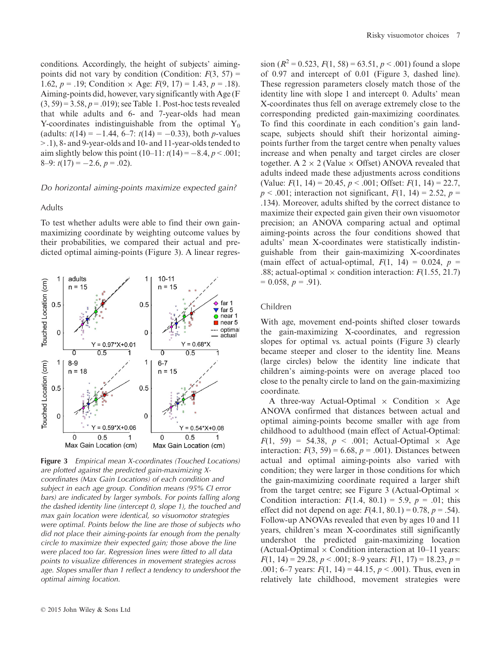conditions. Accordingly, the height of subjects' aimingpoints did not vary by condition (Condition:  $F(3, 57) =$ 1.62,  $p = .19$ ; Condition  $\times$  Age:  $F(9, 17) = 1.43$ ,  $p = .18$ ). Aiming-points did, however, vary significantly with Age (F  $(3, 59) = 3.58, p = .019$ ; see Table 1. Post-hoc tests revealed that while adults and 6- and 7-year-olds had mean Y-coordinates indistinguishable from the optimal  $Y_0$ (adults:  $t(14) = -1.44$ , 6–7:  $t(14) = -0.33$ ), both *p*-values > .1), 8- and 9-year-olds and 10- and 11-year-olds tended to aim slightly below this point  $(10-11: t(14) = -8.4, p < .001;$ 8–9:  $t(17) = -2.6, p = .02$ .

#### Do horizontal aiming-points maximize expected gain?

#### Adults

To test whether adults were able to find their own gainmaximizing coordinate by weighting outcome values by their probabilities, we compared their actual and predicted optimal aiming-points (Figure 3). A linear regres-



Figure 3 Empirical mean X-coordinates (Touched Locations) are plotted against the predicted gain-maximizing Xcoordinates (Max Gain Locations) of each condition and subject in each age group. Condition means (95% CI error bars) are indicated by larger symbols. For points falling along the dashed identity line (intercept 0, slope 1), the touched and max gain location were identical, so visuomotor strategies were optimal. Points below the line are those of subjects who did not place their aiming-points far enough from the penalty circle to maximize their expected gain; those above the line were placed too far. Regression lines were fitted to all data points to visualize differences in movement strategies across age. Slopes smaller than 1 reflect a tendency to undershoot the optimal aiming location.

sion ( $R^2 = 0.523$ ,  $F(1, 58) = 63.51$ ,  $p < .001$ ) found a slope of 0.97 and intercept of 0.01 (Figure 3, dashed line). These regression parameters closely match those of the identity line with slope 1 and intercept 0. Adults' mean X-coordinates thus fell on average extremely close to the corresponding predicted gain-maximizing coordinates. To find this coordinate in each condition's gain landscape, subjects should shift their horizontal aimingpoints further from the target centre when penalty values increase and when penalty and target circles are closer together. A  $2 \times 2$  (Value  $\times$  Offset) ANOVA revealed that adults indeed made these adjustments across conditions (Value:  $F(1, 14) = 20.45, p < .001$ ; Offset:  $F(1, 14) = 22.7$ ,  $p < .001$ ; interaction not significant,  $F(1, 14) = 2.52$ ,  $p =$ .134). Moreover, adults shifted by the correct distance to maximize their expected gain given their own visuomotor precision; an ANOVA comparing actual and optimal aiming-points across the four conditions showed that adults' mean X-coordinates were statistically indistinguishable from their gain-maximizing X-coordinates (main effect of actual-optimal,  $F(1, 14) = 0.024$ ,  $p =$ .88; actual-optimal  $\times$  condition interaction:  $F(1.55, 21.7)$  $= 0.058, p = .91$ .

#### Children

With age, movement end-points shifted closer towards the gain-maximizing X-coordinates, and regression slopes for optimal vs. actual points (Figure 3) clearly became steeper and closer to the identity line. Means (large circles) below the identity line indicate that children's aiming-points were on average placed too close to the penalty circle to land on the gain-maximizing coordinate.

A three-way Actual-Optimal  $\times$  Condition  $\times$  Age ANOVA confirmed that distances between actual and optimal aiming-points become smaller with age from childhood to adulthood (main effect of Actual-Optimal:  $F(1, 59) = 54.38$ ,  $p < .001$ ; Actual-Optimal  $\times$  Age interaction:  $F(3, 59) = 6.68$ ,  $p = .001$ ). Distances between actual and optimal aiming-points also varied with condition; they were larger in those conditions for which the gain-maximizing coordinate required a larger shift from the target centre; see Figure 3 (Actual-Optimal  $\times$ Condition interaction:  $F(1.4, 80.1) = 5.9, p = .01$ ; this effect did not depend on age:  $F(4.1, 80.1) = 0.78$ ,  $p = .54$ ). Follow-up ANOVAs revealed that even by ages 10 and 11 years, children's mean X-coordinates still significantly undershot the predicted gain-maximizing location (Actual-Optimal  $\times$  Condition interaction at 10–11 years:  $F(1, 14) = 29.28, p < .001; 8–9$  years:  $F(1, 17) = 18.23, p =$ .001; 6–7 years:  $F(1, 14) = 44.15, p < .001$ ). Thus, even in relatively late childhood, movement strategies were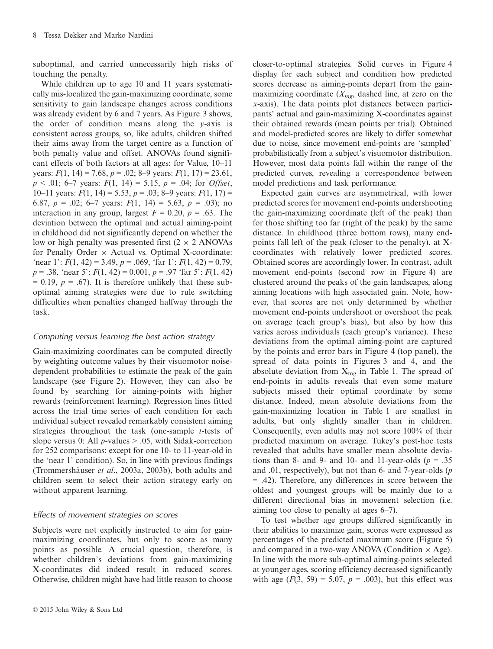suboptimal, and carried unnecessarily high risks of touching the penalty.

While children up to age 10 and 11 years systematically mis-localized the gain-maximizing coordinate, some sensitivity to gain landscape changes across conditions was already evident by 6 and 7 years. As Figure 3 shows, the order of condition means along the  $y$ -axis is consistent across groups, so, like adults, children shifted their aims away from the target centre as a function of both penalty value and offset. ANOVAs found significant effects of both factors at all ages: for Value, 10–11 years:  $F(1, 14) = 7.68$ ,  $p = .02$ ; 8–9 years:  $F(1, 17) = 23.61$ ,  $p < .01$ ; 6–7 years:  $F(1, 14) = 5.15$ ,  $p = .04$ ; for *Offset*, 10–11 years:  $F(1, 14) = 5.53$ ,  $p = .03$ ; 8–9 years:  $F(1, 17) =$ 6.87,  $p = .02$ ; 6–7 years:  $F(1, 14) = 5.63$ ,  $p = .03$ ); no interaction in any group, largest  $F = 0.20$ ,  $p = .63$ . The deviation between the optimal and actual aiming-point in childhood did not significantly depend on whether the low or high penalty was presented first  $(2 \times 2$  ANOVAs for Penalty Order  $\times$  Actual vs. Optimal X-coordinate: 'near 1':  $F(1, 42) = 3.49$ ,  $p = .069$ , 'far 1':  $F(1, 42) = 0.79$ ,  $p = .38$ , 'near 5':  $F(1, 42) = 0.001$ ,  $p = .97$  'far 5':  $F(1, 42)$  $= 0.19$ ,  $p = .67$ ). It is therefore unlikely that these suboptimal aiming strategies were due to rule switching difficulties when penalties changed halfway through the task.

# Computing versus learning the best action strategy

Gain-maximizing coordinates can be computed directly by weighting outcome values by their visuomotor noisedependent probabilities to estimate the peak of the gain landscape (see Figure 2). However, they can also be found by searching for aiming-points with higher rewards (reinforcement learning). Regression lines fitted across the trial time series of each condition for each individual subject revealed remarkably consistent aiming strategies throughout the task (one-sample  $t$ -tests of slope versus 0: All  $p$ -values  $> .05$ , with Sidak-correction for 252 comparisons; except for one 10- to 11-year-old in the 'near 1' condition). So, in line with previous findings (Trommershäuser et al., 2003a, 2003b), both adults and children seem to select their action strategy early on without apparent learning.

# Effects of movement strategies on scores

Subjects were not explicitly instructed to aim for gainmaximizing coordinates, but only to score as many points as possible. A crucial question, therefore, is whether children's deviations from gain-maximizing X-coordinates did indeed result in reduced scores. Otherwise, children might have had little reason to choose closer-to-optimal strategies. Solid curves in Figure 4 display for each subject and condition how predicted scores decrease as aiming-points depart from the gainmaximizing coordinate  $(X_{mg}, \text{dashed line}, \text{at zero on the})$ x-axis). The data points plot distances between participants' actual and gain-maximizing X-coordinates against their obtained rewards (mean points per trial). Obtained and model-predicted scores are likely to differ somewhat due to noise, since movement end-points are 'sampled' probabilistically from a subject's visuomotor distribution. However, most data points fall within the range of the predicted curves, revealing a correspondence between model predictions and task performance.

Expected gain curves are asymmetrical, with lower predicted scores for movement end-points undershooting the gain-maximizing coordinate (left of the peak) than for those shifting too far (right of the peak) by the same distance. In childhood (three bottom rows), many endpoints fall left of the peak (closer to the penalty), at Xcoordinates with relatively lower predicted scores. Obtained scores are accordingly lower. In contrast, adult movement end-points (second row in Figure 4) are clustered around the peaks of the gain landscapes, along aiming locations with high associated gain. Note, however, that scores are not only determined by whether movement end-points undershoot or overshoot the peak on average (each group's bias), but also by how this varies across individuals (each group's variance). These deviations from the optimal aiming-point are captured by the points and error bars in Figure 4 (top panel), the spread of data points in Figures 3 and 4, and the absolute deviation from  $X_{mg}$  in Table 1. The spread of end-points in adults reveals that even some mature subjects missed their optimal coordinate by some distance. Indeed, mean absolute deviations from the gain-maximizing location in Table 1 are smallest in adults, but only slightly smaller than in children. Consequently, even adults may not score 100% of their predicted maximum on average. Tukey's post-hoc tests revealed that adults have smaller mean absolute deviations than 8- and 9- and 10- and 11-year-olds ( $p = .35$ ) and .01, respectively), but not than 6- and 7-year-olds (p = .42). Therefore, any differences in score between the oldest and youngest groups will be mainly due to a different directional bias in movement selection (i.e. aiming too close to penalty at ages 6–7).

To test whether age groups differed significantly in their abilities to maximize gain, scores were expressed as percentages of the predicted maximum score (Figure 5) and compared in a two-way ANOVA (Condition  $\times$  Age). In line with the more sub-optimal aiming-points selected at younger ages, scoring efficiency decreased significantly with age  $(F(3, 59) = 5.07, p = .003)$ , but this effect was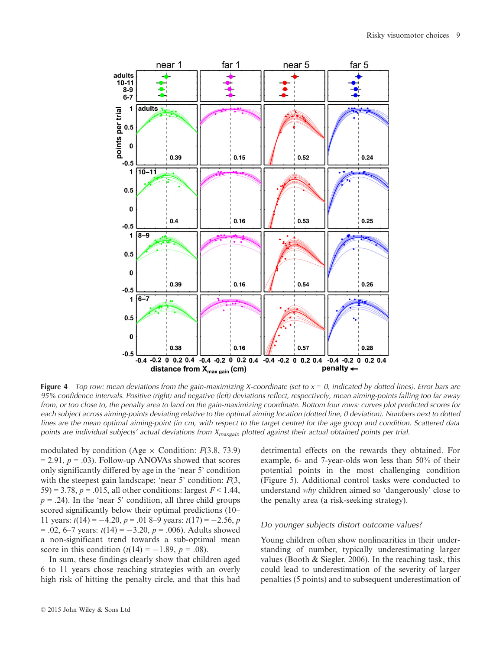

Figure 4 Top row: mean deviations from the gain-maximizing X-coordinate (set to  $x = 0$ , indicated by dotted lines). Error bars are 95% confidence intervals. Positive (right) and negative (left) deviations reflect, respectively, mean aiming-points falling too far away from, or too close to, the penalty area to land on the gain-maximizing coordinate. Bottom four rows: curves plot predicted scores for each subject across aiming-points deviating relative to the optimal aiming location (dotted line, 0 deviation). Numbers next to dotted lines are the mean optimal aiming-point (in cm, with respect to the target centre) for the age group and condition. Scattered data points are individual subjects' actual deviations from  $X_{maxgain}$  plotted against their actual obtained points per trial.

modulated by condition (Age  $\times$  Condition:  $F(3.8, 73.9)$ )  $= 2.91, p = .03$ ). Follow-up ANOVAs showed that scores only significantly differed by age in the 'near 5' condition with the steepest gain landscape; 'near 5' condition:  $F(3)$ , 59) = 3.78,  $p = .015$ , all other conditions: largest  $F < 1.44$ ,  $p = .24$ ). In the 'near 5' condition, all three child groups scored significantly below their optimal predictions (10– 11 years:  $t(14) = -4.20$ ,  $p = .018 - .9$  years:  $t(17) = -2.56$ , p  $= .02, 6-7$  years:  $t(14) = -3.20, p = .006$ . Adults showed a non-significant trend towards a sub-optimal mean score in this condition  $(t(14) = -1.89, p = .08)$ .

In sum, these findings clearly show that children aged 6 to 11 years chose reaching strategies with an overly high risk of hitting the penalty circle, and that this had detrimental effects on the rewards they obtained. For example, 6- and 7-year-olds won less than 50% of their potential points in the most challenging condition (Figure 5). Additional control tasks were conducted to understand why children aimed so 'dangerously' close to the penalty area (a risk-seeking strategy).

#### Do younger subjects distort outcome values?

Young children often show nonlinearities in their understanding of number, typically underestimating larger values (Booth  $\&$  Siegler, 2006). In the reaching task, this could lead to underestimation of the severity of larger penalties (5 points) and to subsequent underestimation of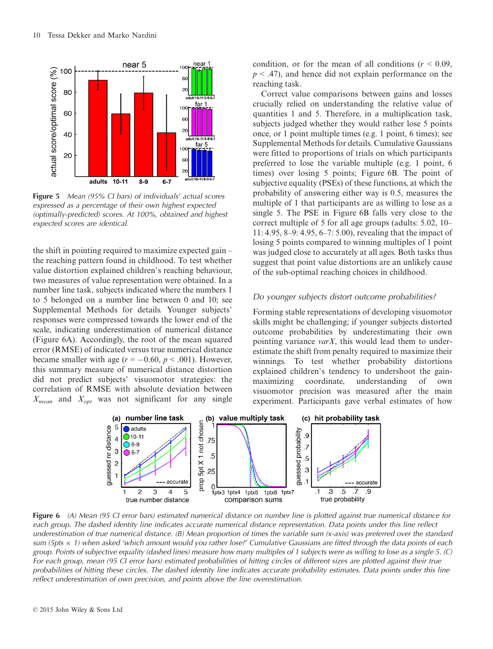

**Figure 5** Mean (95% CI bars) of individuals' actual scores expressed as a percentage of their own highest expected (optimally-predicted) scores. At 100%, obtained and highest expected scores are identical.

the shift in pointing required to maximize expected gain – the reaching pattern found in childhood. To test whether value distortion explained children's reaching behaviour, two measures of value representation were obtained. In a number line task, subjects indicated where the numbers 1 to 5 belonged on a number line between 0 and 10; see Supplemental Methods for details. Younger subjects' responses were compressed towards the lower end of the scale, indicating underestimation of numerical distance (Figure 6A). Accordingly, the root of the mean squared error (RMSE) of indicated versus true numerical distance became smaller with age  $(r = -0.60, p < .001)$ . However, this summary measure of numerical distance distortion did not predict subjects' visuomotor strategies: the correlation of RMSE with absolute deviation between  $X_{mean}$  and  $X_{opt}$  was not significant for any single

condition, or for the mean of all conditions ( $r < 0.09$ ,  $p < .47$ ), and hence did not explain performance on the reaching task.

Correct value comparisons between gains and losses crucially relied on understanding the relative value of quantities 1 and 5. Therefore, in a multiplication task, subjects judged whether they would rather lose 5 points once, or 1 point multiple times (e.g. 1 point, 6 times); see Supplemental Methods for details. Cumulative Gaussians were fitted to proportions of trials on which participants preferred to lose the variable multiple (e.g. 1 point, 6 times) over losing 5 points; Figure 6B. The point of subjective equality (PSEs) of these functions, at which the probability of answering either way is 0.5, measures the multiple of 1 that participants are as willing to lose as a single 5. The PSE in Figure 6B falls very close to the correct multiple of 5 for all age groups (adults: 5.02, 10– 11: 4.95, 8–9: 4.95, 6–7: 5.00), revealing that the impact of losing 5 points compared to winning multiples of 1 point was judged close to accurately at all ages. Both tasks thus suggest that point value distortions are an unlikely cause of the sub-optimal reaching choices in childhood.

#### Do younger subjects distort outcome probabilities?

Forming stable representations of developing visuomotor skills might be challenging; if younger subjects distorted outcome probabilities by underestimating their own pointing variance *varX*, this would lead them to underestimate the shift from penalty required to maximize their winnings. To test whether probability distortions explained children's tendency to undershoot the gainmaximizing coordinate, understanding of own visuomotor precision was measured after the main experiment. Participants gave verbal estimates of how



Figure 6 (A) Mean (95 CI error bars) estimated numerical distance on number line is plotted against true numerical distance for each group. The dashed identity line indicates accurate numerical distance representation. Data points under this line reflect underestimation of true numerical distance. (B) Mean proportion of times the variable sum (x-axis) was preferred over the standard sum (5pts  $\times$  1) when asked 'which amount would you rather lose?' Cumulative Gaussians are fitted through the data points of each group. Points of subjective equality (dashed lines) measure how many multiples of 1 subjects were as willing to lose as a single 5. (C) For each group, mean (95 CI error bars) estimated probabilities of hitting circles of different sizes are plotted against their true probabilities of hitting these circles. The dashed identity line indicates accurate probability estimates. Data points under this line reflect underestimation of own precision, and points above the line overestimation.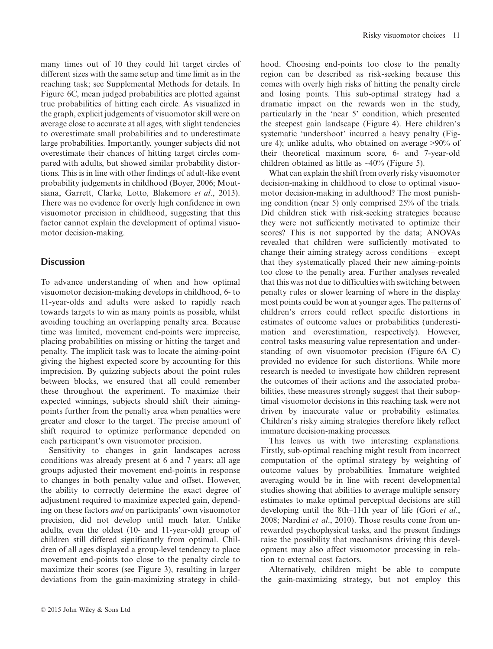many times out of 10 they could hit target circles of different sizes with the same setup and time limit as in the reaching task; see Supplemental Methods for details. In Figure 6C, mean judged probabilities are plotted against true probabilities of hitting each circle. As visualized in the graph, explicit judgements of visuomotor skill were on average close to accurate at all ages, with slight tendencies to overestimate small probabilities and to underestimate large probabilities. Importantly, younger subjects did not overestimate their chances of hitting target circles compared with adults, but showed similar probability distortions. This is in line with other findings of adult-like event probability judgements in childhood (Boyer, 2006; Moutsiana, Garrett, Clarke, Lotto, Blakemore et al., 2013). There was no evidence for overly high confidence in own visuomotor precision in childhood, suggesting that this factor cannot explain the development of optimal visuomotor decision-making.

# **Discussion**

To advance understanding of when and how optimal visuomotor decision-making develops in childhood, 6- to 11-year-olds and adults were asked to rapidly reach towards targets to win as many points as possible, whilst avoiding touching an overlapping penalty area. Because time was limited, movement end-points were imprecise, placing probabilities on missing or hitting the target and penalty. The implicit task was to locate the aiming-point giving the highest expected score by accounting for this imprecision. By quizzing subjects about the point rules between blocks, we ensured that all could remember these throughout the experiment. To maximize their expected winnings, subjects should shift their aimingpoints further from the penalty area when penalties were greater and closer to the target. The precise amount of shift required to optimize performance depended on each participant's own visuomotor precision.

Sensitivity to changes in gain landscapes across conditions was already present at 6 and 7 years; all age groups adjusted their movement end-points in response to changes in both penalty value and offset. However, the ability to correctly determine the exact degree of adjustment required to maximize expected gain, depending on these factors and on participants' own visuomotor precision, did not develop until much later. Unlike adults, even the oldest (10- and 11-year-old) group of children still differed significantly from optimal. Children of all ages displayed a group-level tendency to place movement end-points too close to the penalty circle to maximize their scores (see Figure 3), resulting in larger deviations from the gain-maximizing strategy in childhood. Choosing end-points too close to the penalty region can be described as risk-seeking because this comes with overly high risks of hitting the penalty circle and losing points. This sub-optimal strategy had a dramatic impact on the rewards won in the study, particularly in the 'near 5' condition, which presented the steepest gain landscape (Figure 4). Here children's systematic 'undershoot' incurred a heavy penalty (Figure 4); unlike adults, who obtained on average >90% of their theoretical maximum score, 6- and 7-year-old children obtained as little as  $\sim$ 40% (Figure 5).

What can explain the shift from overly risky visuomotor decision-making in childhood to close to optimal visuomotor decision-making in adulthood? The most punishing condition (near 5) only comprised 25% of the trials. Did children stick with risk-seeking strategies because they were not sufficiently motivated to optimize their scores? This is not supported by the data; ANOVAs revealed that children were sufficiently motivated to change their aiming strategy across conditions – except that they systematically placed their new aiming-points too close to the penalty area. Further analyses revealed that this was not due to difficulties with switching between penalty rules or slower learning of where in the display most points could be won at younger ages. The patterns of children's errors could reflect specific distortions in estimates of outcome values or probabilities (underestimation and overestimation, respectively). However, control tasks measuring value representation and understanding of own visuomotor precision (Figure 6A–C) provided no evidence for such distortions. While more research is needed to investigate how children represent the outcomes of their actions and the associated probabilities, these measures strongly suggest that their suboptimal visuomotor decisions in this reaching task were not driven by inaccurate value or probability estimates. Children's risky aiming strategies therefore likely reflect immature decision-making processes.

This leaves us with two interesting explanations. Firstly, sub-optimal reaching might result from incorrect computation of the optimal strategy by weighting of outcome values by probabilities. Immature weighted averaging would be in line with recent developmental studies showing that abilities to average multiple sensory estimates to make optimal perceptual decisions are still developing until the 8th–11th year of life (Gori *et al.*, 2008; Nardini et al., 2010). Those results come from unrewarded psychophysical tasks, and the present findings raise the possibility that mechanisms driving this development may also affect visuomotor processing in relation to external cost factors.

Alternatively, children might be able to compute the gain-maximizing strategy, but not employ this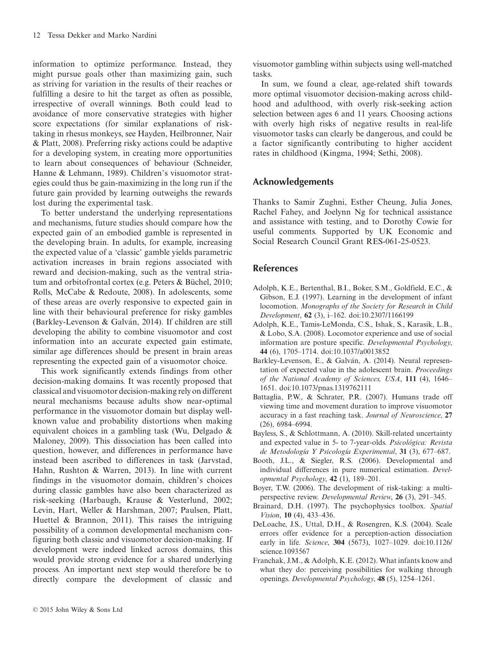information to optimize performance. Instead, they might pursue goals other than maximizing gain, such as striving for variation in the results of their reaches or fulfilling a desire to hit the target as often as possible, irrespective of overall winnings. Both could lead to avoidance of more conservative strategies with higher score expectations (for similar explanations of risktaking in rhesus monkeys, see Hayden, Heilbronner, Nair & Platt, 2008). Preferring risky actions could be adaptive for a developing system, in creating more opportunities to learn about consequences of behaviour (Schneider, Hanne & Lehmann, 1989). Children's visuomotor strategies could thus be gain-maximizing in the long run if the future gain provided by learning outweighs the rewards lost during the experimental task.

To better understand the underlying representations and mechanisms, future studies should compare how the expected gain of an embodied gamble is represented in the developing brain. In adults, for example, increasing the expected value of a 'classic' gamble yields parametric activation increases in brain regions associated with reward and decision-making, such as the ventral striatum and orbitofrontal cortex (e.g. Peters & Büchel, 2010; Rolls, McCabe & Redoute, 2008). In adolescents, some of these areas are overly responsive to expected gain in line with their behavioural preference for risky gambles (Barkley-Levenson & Galván, 2014). If children are still developing the ability to combine visuomotor and cost information into an accurate expected gain estimate, similar age differences should be present in brain areas representing the expected gain of a visuomotor choice.

This work significantly extends findings from other decision-making domains. It was recently proposed that classical and visuomotor decision-making rely on different neural mechanisms because adults show near-optimal performance in the visuomotor domain but display wellknown value and probability distortions when making equivalent choices in a gambling task (Wu, Delgado & Maloney, 2009). This dissociation has been called into question, however, and differences in performance have instead been ascribed to differences in task (Jarvstad, Hahn, Rushton & Warren, 2013). In line with current findings in the visuomotor domain, children's choices during classic gambles have also been characterized as risk-seeking (Harbaugh, Krause & Vesterlund, 2002; Levin, Hart, Weller & Harshman, 2007; Paulsen, Platt, Huettel & Brannon, 2011). This raises the intriguing possibility of a common developmental mechanism configuring both classic and visuomotor decision-making. If development were indeed linked across domains, this would provide strong evidence for a shared underlying process. An important next step would therefore be to directly compare the development of classic and

visuomotor gambling within subjects using well-matched tasks.

In sum, we found a clear, age-related shift towards more optimal visuomotor decision-making across childhood and adulthood, with overly risk-seeking action selection between ages 6 and 11 years. Choosing actions with overly high risks of negative results in real-life visuomotor tasks can clearly be dangerous, and could be a factor significantly contributing to higher accident rates in childhood (Kingma, 1994; Sethi, 2008).

# Acknowledgements

Thanks to Samir Zughni, Esther Cheung, Julia Jones, Rachel Fahey, and Joelynn Ng for technical assistance and assistance with testing, and to Dorothy Cowie for useful comments. Supported by UK Economic and Social Research Council Grant RES-061-25-0523.

# References

- Adolph, K.E., Bertenthal, B.I., Boker, S.M., Goldfield, E.C., & Gibson, E.J. (1997). Learning in the development of infant locomotion. Monographs of the Society for Research in Child Development, 62 (3), i–162. doi[:10.2307/1166199](http://dx.doi.org/10.2307/1166199)
- Adolph, K.E., Tamis-LeMonda, C.S., Ishak, S., Karasik, L.B., & Lobo, S.A. (2008). Locomotor experience and use of social information are posture specific. Developmental Psychology, 44 (6), 1705–1714. doi:[10.1037/a0013852](http://dx.doi.org/10.1037/a0013852)
- Barkley-Levenson, E., & Galván, A. (2014). Neural representation of expected value in the adolescent brain. Proceedings of the National Academy of Sciences, USA, 111 (4), 1646– 1651. doi[:10.1073/pnas.1319762111](http://dx.doi.org/10.1073/pnas.1319762111)
- Battaglia, P.W., & Schrater, P.R. (2007). Humans trade off viewing time and movement duration to improve visuomotor accuracy in a fast reaching task. Journal of Neuroscience, 27 (26), 6984–6994.
- Bayless, S., & Schlottmann, A. (2010). Skill-related uncertainty and expected value in 5- to 7-year-olds. *Psicológica: Revista* de Metodología Y Psicología Experimental, 31 (3), 677–687.
- Booth, J.L., & Siegler, R.S. (2006). Developmental and individual differences in pure numerical estimation. Developmental Psychology, 42 (1), 189–201.
- Boyer, T.W. (2006). The development of risk-taking: a multiperspective review. Developmental Review, 26 (3), 291–345.
- Brainard, D.H. (1997). The psychophysics toolbox. Spatial Vision, 10 (4), 433–436.
- DeLoache, J.S., Uttal, D.H., & Rosengren, K.S. (2004). Scale errors offer evidence for a perception-action dissociation early in life. Science, 304 (5673), 1027–1029. doi[:10.1126/](http://dx.doi.org/10.1126/science.1093567) [science.1093567](http://dx.doi.org/10.1126/science.1093567)
- Franchak, J.M., & Adolph, K.E. (2012). What infants know and what they do: perceiving possibilities for walking through openings. Developmental Psychology, 48 (5), 1254–1261.